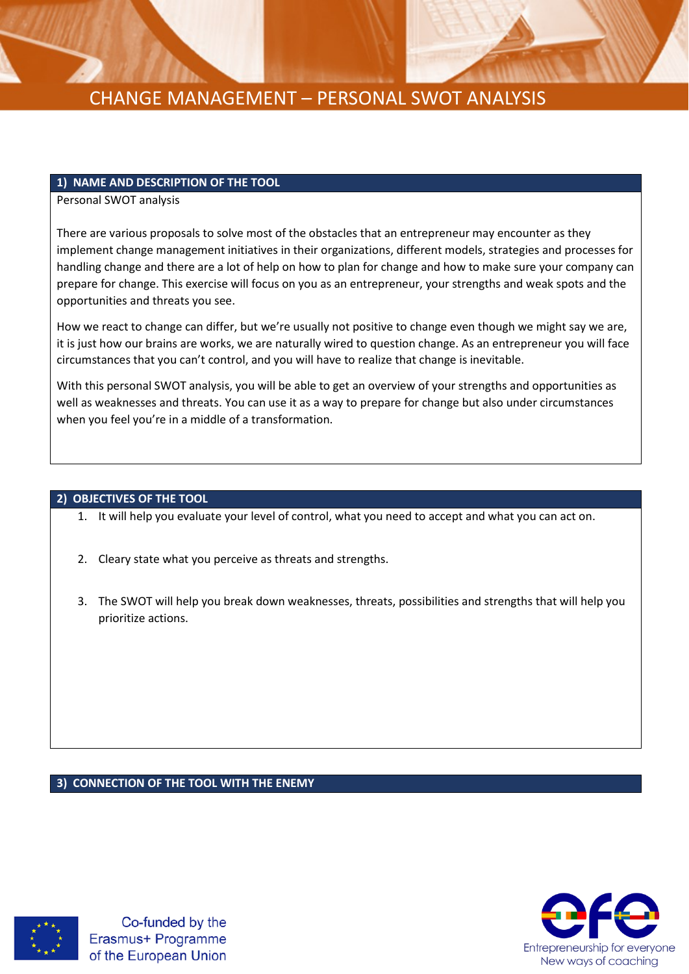

#### **1) NAME AND DESCRIPTION OF THE TOOL**

Personal SWOT analysis

There are various proposals to solve most of the obstacles that an entrepreneur may encounter as they implement change management initiatives in their organizations, different models, strategies and processes for handling change and there are a lot of help on how to plan for change and how to make sure your company can prepare for change. This exercise will focus on you as an entrepreneur, your strengths and weak spots and the opportunities and threats you see.

How we react to change can differ, but we're usually not positive to change even though we might say we are, it is just how our brains are works, we are naturally wired to question change. As an entrepreneur you will face circumstances that you can't control, and you will have to realize that change is inevitable.

With this personal SWOT analysis, you will be able to get an overview of your strengths and opportunities as well as weaknesses and threats. You can use it as a way to prepare for change but also under circumstances when you feel you're in a middle of a transformation.

#### **2) OBJECTIVES OF THE TOOL**

- 1. It will help you evaluate your level of control, what you need to accept and what you can act on.
- 2. Cleary state what you perceive as threats and strengths.
- 3. The SWOT will help you break down weaknesses, threats, possibilities and strengths that will help you prioritize actions.

#### **3) CONNECTION OF THE TOOL WITH THE ENEMY**



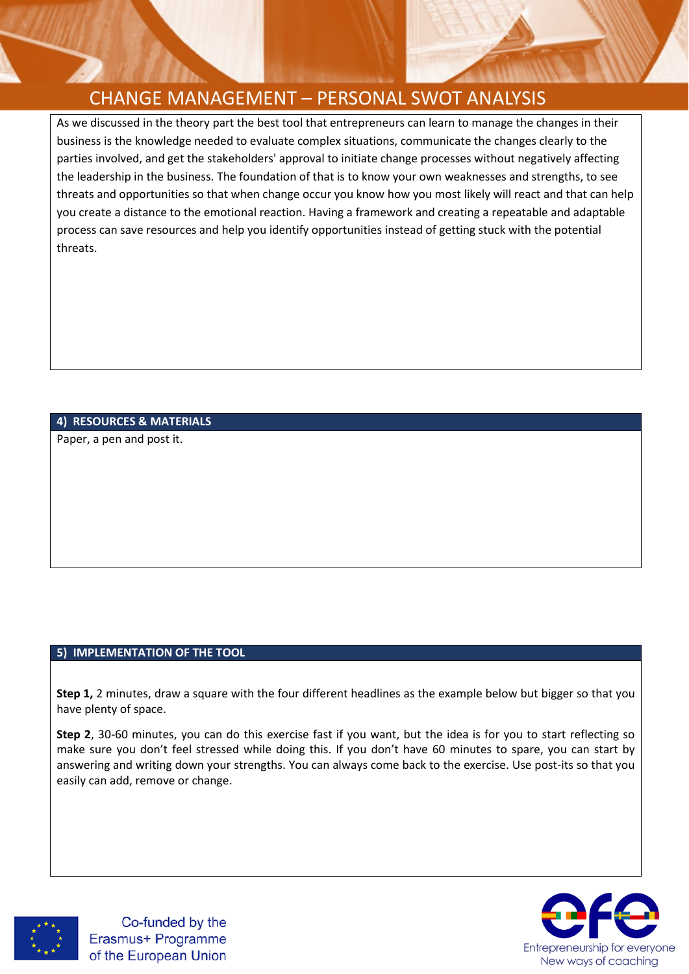As we discussed in the theory part the best tool that entrepreneurs can learn to manage the changes in their business is the knowledge needed to evaluate complex situations, communicate the changes clearly to the parties involved, and get the stakeholders' approval to initiate change processes without negatively affecting the leadership in the business. The foundation of that is to know your own weaknesses and strengths, to see threats and opportunities so that when change occur you know how you most likely will react and that can help you create a distance to the emotional reaction. Having a framework and creating a repeatable and adaptable process can save resources and help you identify opportunities instead of getting stuck with the potential threats.

### **4) RESOURCES & MATERIALS**

Paper, a pen and post it.

#### **5) IMPLEMENTATION OF THE TOOL**

**Step 1,** 2 minutes, draw a square with the four different headlines as the example below but bigger so that you have plenty of space.

**Step 2**, 30-60 minutes, you can do this exercise fast if you want, but the idea is for you to start reflecting so make sure you don't feel stressed while doing this. If you don't have 60 minutes to spare, you can start by answering and writing down your strengths. You can always come back to the exercise. Use post-its so that you easily can add, remove or change.



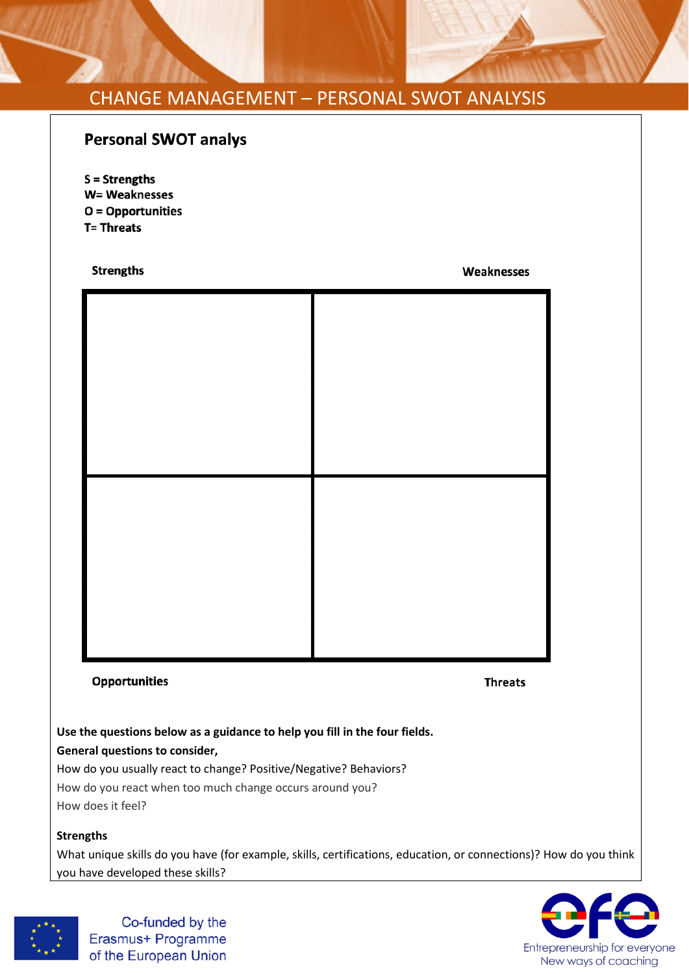# **Personal SWOT analys**

 $S =$ Strengths W= Weaknesses  $O =$  Opportunities **T= Threats** 

#### **Strengths**

Weaknesses

### **Opportunities**

**Threats** 

**Use the questions below as a guidance to help you fill in the four fields. General questions to consider,** 

How do you usually react to change? Positive/Negative? Behaviors? How do you react when too much change occurs around you? How does it feel?

**Strengths** 

What unique skills do you have (for example, skills, certifications, education, or connections)? How do you think you have developed these skills?



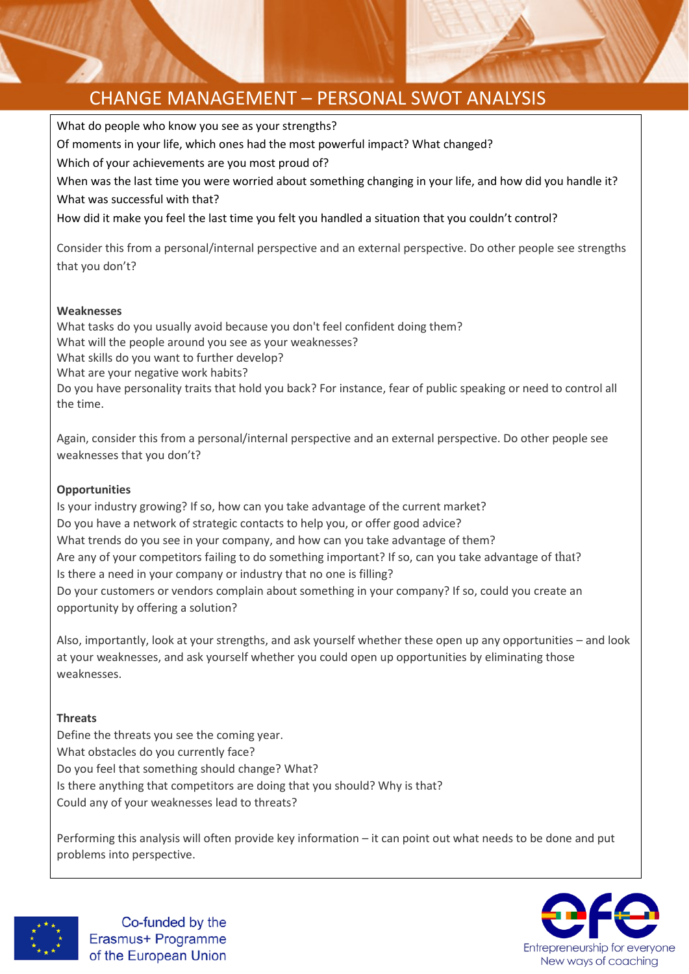What do people who know you see as your strengths? Of moments in your life, which ones had the most powerful impact? What changed? Which of your achievements are you most proud of? When was the last time you were worried about something changing in your life, and how did you handle it? What was successful with that? How did it make you feel the last time you felt you handled a situation that you couldn't control? Consider this from a personal/internal perspective and an external perspective. Do other people see strengths that you don't? **Weaknesses** What tasks do you usually avoid because you don't feel confident doing them? What will the people around you see as your weaknesses? What skills do you want to further develop? What are your negative work habits? Do you have personality traits that hold you back? For instance, fear of public speaking or need to control all

the time.

Again, consider this from a personal/internal perspective and an external perspective. Do other people see weaknesses that you don't?

## **Opportunities**

Is your industry growing? If so, how can you take advantage of the current market? Do you have a network of strategic contacts to help you, or offer good advice? What trends do you see in your company, and how can you take advantage of them? Are any of your competitors failing to do something important? If so, can you take advantage of that? Is there a need in your company or industry that no one is filling? Do your customers or vendors complain about something in your company? If so, could you create an opportunity by offering a solution?

Also, importantly, look at your strengths, and ask yourself whether these open up any opportunities – and look at your weaknesses, and ask yourself whether you could open up opportunities by eliminating those weaknesses.

### **Threats**

Define the threats you see the coming year. What obstacles do you currently face? Do you feel that something should change? What? Is there anything that competitors are doing that you should? Why is that? Could any of your weaknesses lead to threats?

Performing this analysis will often provide key information – it can point out what needs to be done and put problems into perspective.